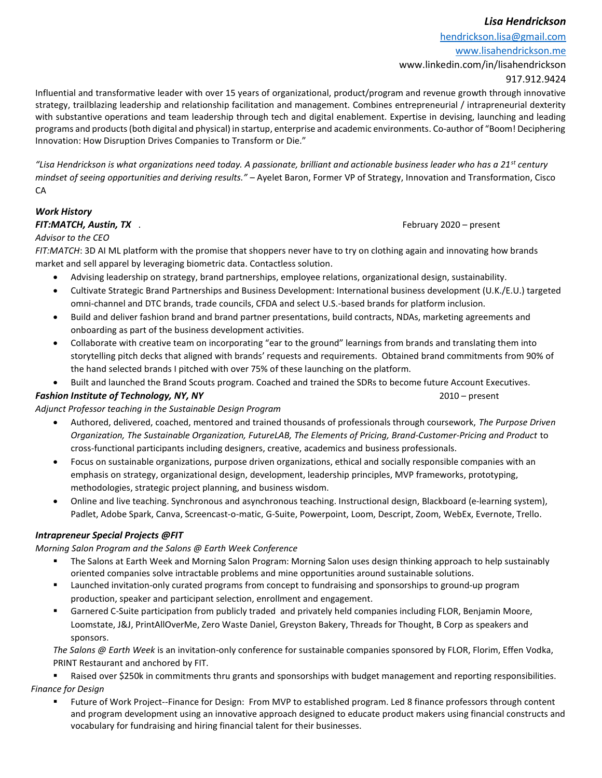## Lisa Hendrickson

hendrickson.lisa@gmail.com www.lisahendrickson.me www.linkedin.com/in/lisahendrickson

917.912.9424

Influential and transformative leader with over 15 years of organizational, product/program and revenue growth through innovative strategy, trailblazing leadership and relationship facilitation and management. Combines entrepreneurial / intrapreneurial dexterity with substantive operations and team leadership through tech and digital enablement. Expertise in devising, launching and leading programs and products (both digital and physical) in startup, enterprise and academic environments. Co-author of "Boom! Deciphering Innovation: How Disruption Drives Companies to Transform or Die."

"Lisa Hendrickson is what organizations need today. A passionate, brilliant and actionable business leader who has a 21<sup>st</sup> century mindset of seeing opportunities and deriving results." – Ayelet Baron, Former VP of Strategy, Innovation and Transformation, Cisco CA

# Work History

FIT:MATCH, Austin, TX ... February 2020 – present

### Advisor to the CEO

FIT:MATCH: 3D AI ML platform with the promise that shoppers never have to try on clothing again and innovating how brands market and sell apparel by leveraging biometric data. Contactless solution.

- Advising leadership on strategy, brand partnerships, employee relations, organizational design, sustainability.
- Cultivate Strategic Brand Partnerships and Business Development: International business development (U.K./E.U.) targeted omni-channel and DTC brands, trade councils, CFDA and select U.S.-based brands for platform inclusion.
- Build and deliver fashion brand and brand partner presentations, build contracts, NDAs, marketing agreements and onboarding as part of the business development activities.
- Collaborate with creative team on incorporating "ear to the ground" learnings from brands and translating them into storytelling pitch decks that aligned with brands' requests and requirements. Obtained brand commitments from 90% of the hand selected brands I pitched with over 75% of these launching on the platform.
- Built and launched the Brand Scouts program. Coached and trained the SDRs to become future Account Executives.

#### **Fashion Institute of Technology, NY, NY** 2010 – present

# Adjunct Professor teaching in the Sustainable Design Program

- Authored, delivered, coached, mentored and trained thousands of professionals through coursework, The Purpose Driven Organization, The Sustainable Organization, FutureLAB, The Elements of Pricing, Brand-Customer-Pricing and Product to cross-functional participants including designers, creative, academics and business professionals.
- Focus on sustainable organizations, purpose driven organizations, ethical and socially responsible companies with an emphasis on strategy, organizational design, development, leadership principles, MVP frameworks, prototyping, methodologies, strategic project planning, and business wisdom.
- Online and live teaching. Synchronous and asynchronous teaching. Instructional design, Blackboard (e-learning system), Padlet, Adobe Spark, Canva, Screencast-o-matic, G-Suite, Powerpoint, Loom, Descript, Zoom, WebEx, Evernote, Trello.

# Intrapreneur Special Projects @FIT

Morning Salon Program and the Salons @ Earth Week Conference

- The Salons at Earth Week and Morning Salon Program: Morning Salon uses design thinking approach to help sustainably oriented companies solve intractable problems and mine opportunities around sustainable solutions.
- Launched invitation-only curated programs from concept to fundraising and sponsorships to ground-up program production, speaker and participant selection, enrollment and engagement.
- Garnered C-Suite participation from publicly traded and privately held companies including FLOR, Benjamin Moore, Loomstate, J&J, PrintAllOverMe, Zero Waste Daniel, Greyston Bakery, Threads for Thought, B Corp as speakers and sponsors.

The Salons @ Earth Week is an invitation-only conference for sustainable companies sponsored by FLOR, Florim, Effen Vodka, PRINT Restaurant and anchored by FIT.

 Raised over \$250k in commitments thru grants and sponsorships with budget management and reporting responsibilities. Finance for Design

 Future of Work Project--Finance for Design: From MVP to established program. Led 8 finance professors through content and program development using an innovative approach designed to educate product makers using financial constructs and vocabulary for fundraising and hiring financial talent for their businesses.